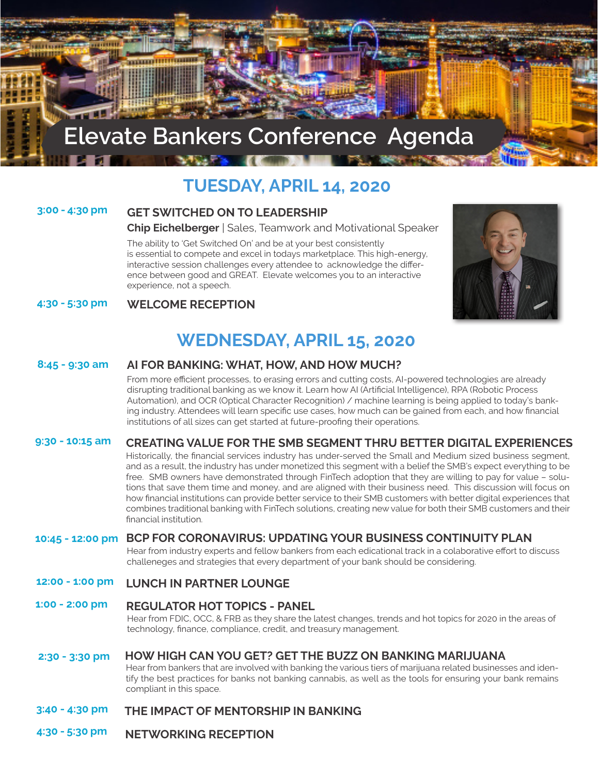# **Elevate Bankers Conference Agenda**

# **TUESDAY, APRIL 14, 2020**

#### **3:00 - 4:30 pm**

#### **GET SWITCHED ON TO LEADERSHIP**

#### **Chip Eichelberger** | Sales, Teamwork and Motivational Speaker

The ability to 'Get Switched On' and be at your best consistently is essential to compete and excel in todays marketplace. This high-energy, interactive session challenges every attendee to acknowledge the diference between good and GREAT. Elevate welcomes you to an interactive experience, not a speech.



#### **4:30 - 5:30 pm WELCOME RECEPTION**

## **WEDNESDAY, APRIL 15, 2020**

#### **8:45 - 9:30 am AI FOR BANKING: WHAT, HOW, AND HOW MUCH?**

From more efficient processes, to erasing errors and cutting costs, AI-powered technologies are already disrupting traditional banking as we know it. Learn how AI (Artifcial Intelligence), RPA (Robotic Process Automation), and OCR (Optical Character Recognition) / machine learning is being applied to today's banking industry. Attendees will learn specifc use cases, how much can be gained from each, and how fnancial institutions of all sizes can get started at future-proofng their operations.

#### **9:30 - 10:15 am CREATING VALUE FOR THE SMB SEGMENT THRU BETTER DIGITAL EXPERIENCES**

Historically, the fnancial services industry has under-served the Small and Medium sized business segment, and as a result, the industry has under monetized this segment with a belief the SMB's expect everything to be free. SMB owners have demonstrated through FinTech adoption that they are willing to pay for value – solutions that save them time and money, and are aligned with their business need. This discussion will focus on how fnancial institutions can provide better service to their SMB customers with better digital experiences that combines traditional banking with FinTech solutions, creating new value for both their SMB customers and their fnancial institution.

#### **BCP FOR CORONAVIRUS: UPDATING YOUR BUSINESS CONTINUITY PLAN 10:45 - 12:00 pm**

Hear from industry experts and fellow bankers from each edicational track in a colaborative efort to discuss challeneges and strategies that every department of your bank should be considering.

#### **12:00 - 1:00 pm LUNCH IN PARTNER LOUNGE**

### **1:00 - 2:00 pm REGULATOR HOT TOPICS - PANEL**

Hear from FDIC, OCC, & FRB as they share the latest changes, trends and hot topics for 2020 in the areas of technology, fnance, compliance, credit, and treasury management.

#### **2:30 - 3:30 pm HOW HIGH CAN YOU GET? GET THE BUZZ ON BANKING MARIJUANA**

Hear from bankers that are involved with banking the various tiers of marijuana related businesses and identify the best practices for banks not banking cannabis, as well as the tools for ensuring your bank remains compliant in this space.

### **3:40 - 4:30 pm THE IMPACT OF MENTORSHIP IN BANKING**

**4:30 - 5:30 pm NETWORKING RECEPTION**